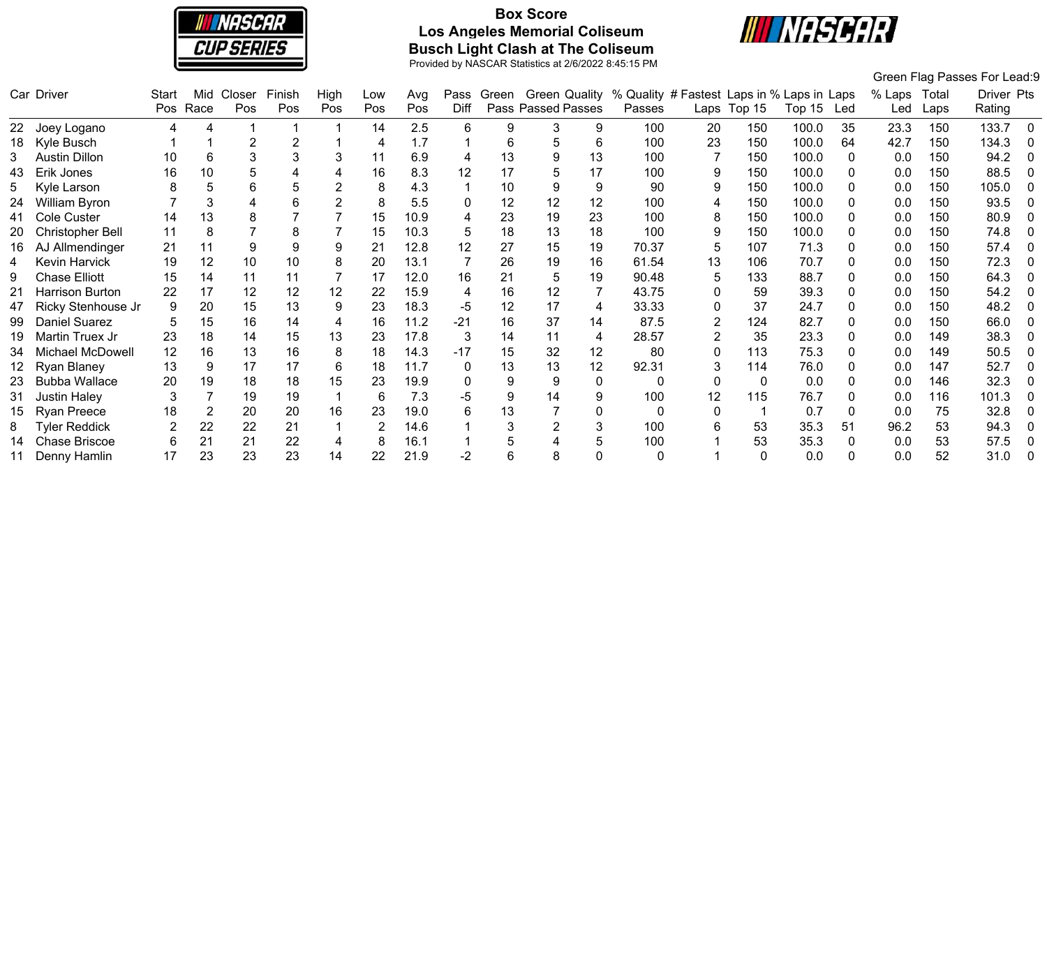

# **Box Score Los Angeles Memorial Coliseum Busch Light Clash at The Coliseum**



|    |                      |                |      |        |        |      |     |      |       |       |                    |    |                                            |                |              |            |    |        |       | Green Flag Passes For Lead:9 |          |
|----|----------------------|----------------|------|--------|--------|------|-----|------|-------|-------|--------------------|----|--------------------------------------------|----------------|--------------|------------|----|--------|-------|------------------------------|----------|
|    | Car Driver           | Start          | Mid  | Closer | Finish | High | Low | Avg  | Pass  | Green | Green Quality      |    | % Quality # Fastest Laps in % Laps in Laps |                |              |            |    | % Laps | Total | Driver Pts                   |          |
|    |                      | Pos            | Race | Pos    | Pos    | Pos  | Pos | Pos  | Diff  |       | Pass Passed Passes |    | Passes                                     |                | Laps Top 15  | Top 15 Led |    | Led    | Laps  | Rating                       |          |
| 22 | Joey Logano          | 4              | 4    |        |        |      | 14  | 2.5  | 6     | 9     | 3                  | 9  | 100                                        | 20             | 150          | 100.0      | 35 | 23.3   | 150   | 133.7                        | - 0      |
| 18 | Kyle Busch           |                |      |        |        |      | 4   | 1.7  |       | 6     | 5                  | 6  | 100                                        | 23             | 150          | 100.0      | 64 | 42.7   | 150   | 134.3                        | 0        |
|    | Austin Dillon        | 10             | 6    | 3      |        | 3    | 11  | 6.9  | 4     | 13    |                    | 13 | 100                                        |                | 150          | 100.0      |    | 0.0    | 150   | 94.2                         |          |
| 43 | Erik Jones           | 16             | 10   |        |        |      | 16  | 8.3  | 12    | 17    |                    | 17 | 100                                        | 9              | 150          | 100.0      |    | 0.0    | 150   | 88.5                         | 0        |
| 5  | Kyle Larson          | 8              |      | 6      |        |      | 8   | 4.3  |       | 10    |                    | 9  | 90                                         | 9              | 150          | 100.0      |    | 0.0    | 150   | 105.0                        | $\Omega$ |
| 24 | William Byron        |                |      |        |        |      | 8   | 5.5  | 0     | 12    | 12                 | 12 | 100                                        | 4              | 150          | 100.0      |    | 0.0    | 150   | 93.5                         | $\Omega$ |
| 41 | Cole Custer          | 14             | 13   | 8      |        |      | 15  | 10.9 |       | 23    | 19                 | 23 | 100                                        | 8              | 150          | 100.0      |    | 0.0    | 150   | 80.9                         | $\Omega$ |
|    | Christopher Bell     | 11             | 8    |        |        |      | 15  | 10.3 | 5     | 18    | 13                 | 18 | 100                                        | 9              | 150          | 100.0      |    | 0.0    | 150   | 74.8                         |          |
| 16 | AJ Allmendinger      | 21             | 11   | 9      |        | 9    | 21  | 12.8 | 12    | 27    | 15                 | 19 | 70.37                                      | 5              | 107          | 71.3       |    | 0.0    | 150   | 57.4                         | 0        |
| 4  | Kevin Harvick        | 19             | 12   | 10     | 10     | 8    | 20  | 13.1 |       | 26    | 19                 | 16 | 61.54                                      | 13             | 106          | 70.7       |    | 0.0    | 150   | 72.3                         | $\Omega$ |
| 9  | <b>Chase Elliott</b> | 15             | 14   | 11     | 11     |      | 17  | 12.0 | 16    | 21    |                    | 19 | 90.48                                      | 5              | 133          | 88.7       |    | 0.0    | 150   | 64.3                         | $\Omega$ |
| 21 | Harrison Burton      | 22             | 17   | 12     | 12     | 12   | 22  | 15.9 | 4     | 16    | 12                 |    | 43.75                                      | 0              | 59           | 39.3       |    | 0.0    | 150   | 54.2                         | 0        |
| 47 | Ricky Stenhouse Jr   | 9              | 20   | 15     | 13     | 9    | 23  | 18.3 | -5    | 12    | 17                 | 4  | 33.33                                      | 0              | 37           | 24.7       |    | 0.0    | 150   | 48.2                         |          |
| 99 | Daniel Suarez        |                | 15   | 16     | 14     | 4    | 16  | 11.2 | $-21$ | 16    | 37                 | 14 | 87.5                                       | $\overline{2}$ | 124          | 82.7       |    | 0.0    | 150   | 66.0                         | $\Omega$ |
| 19 | Martin Truex Jr      | 23             | 18   | 14     | 15     | 13   | 23  | 17.8 | 3     | 14    | 11                 | 4  | 28.57                                      | $\overline{2}$ | 35           | 23.3       |    | 0.0    | 149   | 38.3                         | 0        |
| 34 | Michael McDowell     | 12             | 16   | 13     | 16     | 8    | 18  | 14.3 | $-17$ | 15    | 32                 | 12 | 80                                         | 0              | 113          | 75.3       |    | 0.0    | 149   | 50.5                         | 0        |
|    | Ryan Blaney          | 13             | 9    | 17     | 17     | 6    | 18  | 11.7 | 0     | 13    | 13                 | 12 | 92.31                                      | 3              | 114          | 76.0       |    | 0.0    | 147   | 52.7                         | 0        |
| 23 | <b>Bubba Wallace</b> | 20             | 19   | 18     | 18     | 15   | 23  | 19.9 | 0     | 9     |                    | 0  | 0                                          | 0              | $\mathbf{0}$ | 0.0        |    | 0.0    | 146   | 32.3                         | $\Omega$ |
| 31 | <b>Justin Haley</b>  | 3              |      | 19     | 19     |      | 6   | 7.3  | -5    | 9     | 14                 | 9  | 100                                        | 12             | 115          | 76.7       |    | 0.0    | 116   | 101.3                        |          |
|    | <b>Ryan Preece</b>   | 18             | 2    | 20     | 20     | 16   | 23  | 19.0 | 6     | 13    |                    | 0  |                                            | 0              |              | 0.7        |    | 0.0    | 75    | 32.8                         | $\Omega$ |
| 8  | <b>Tyler Reddick</b> | $\overline{2}$ | 22   | 22     | 21     |      | 2   | 14.6 |       | 3     |                    | 3  | 100                                        | 6              | 53           | 35.3       | 51 | 96.2   | 53    | 94.3                         | 0        |
| 14 | <b>Chase Briscoe</b> | 6              | 21   | 21     | 22     | 4    | 8   | 16.1 |       |       |                    |    | 100                                        |                | 53           | 35.3       |    | 0.0    | 53    | 57.5                         | 0        |
|    | Denny Hamlin         | 17             | 23   | 23     | 23     | 14   | 22  | 21.9 | -2    | 6     |                    |    | 0                                          |                | 0            | 0.0        |    | 0.0    | 52    | 31.0                         | 0        |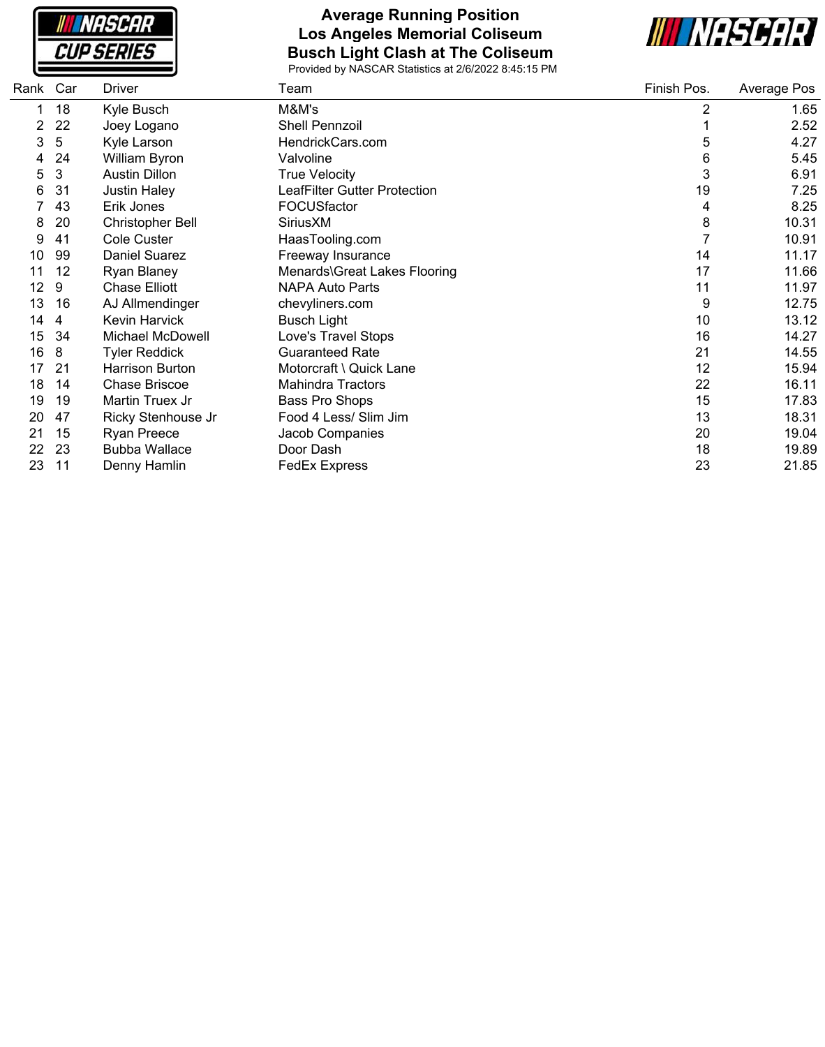

### **Average Running Position Los Angeles Memorial Coliseum Busch Light Clash at The Coliseum**



| Rank | Car | <b>Driver</b>        | Team                         | Finish Pos.    | Average Pos |
|------|-----|----------------------|------------------------------|----------------|-------------|
|      | 18  | Kyle Busch           | M&M's                        | $\overline{2}$ | 1.65        |
| 2    | 22  | Joey Logano          | Shell Pennzoil               |                | 2.52        |
| 3    | 5   | Kyle Larson          | HendrickCars.com             | 5              | 4.27        |
| 4    | 24  | William Byron        | Valvoline                    | 6              | 5.45        |
| 5    | 3   | <b>Austin Dillon</b> | <b>True Velocity</b>         | 3              | 6.91        |
| 6    | 31  | <b>Justin Haley</b>  | LeafFilter Gutter Protection | 19             | 7.25        |
|      | 43  | Erik Jones           | FOCUSfactor                  | 4              | 8.25        |
| 8    | 20  | Christopher Bell     | SiriusXM                     | 8              | 10.31       |
| 9    | 41  | Cole Custer          | HaasTooling.com              | $\overline{7}$ | 10.91       |
| 10   | 99  | <b>Daniel Suarez</b> | Freeway Insurance            | 14             | 11.17       |
| 11   | 12  | Ryan Blaney          | Menards\Great Lakes Flooring | 17             | 11.66       |
| 12   | 9   | <b>Chase Elliott</b> | <b>NAPA Auto Parts</b>       | 11             | 11.97       |
| 13   | 16  | AJ Allmendinger      | chevyliners.com              | 9              | 12.75       |
| 14   | 4   | <b>Kevin Harvick</b> | <b>Busch Light</b>           | 10             | 13.12       |
| 15   | 34  | Michael McDowell     | Love's Travel Stops          | 16             | 14.27       |
| 16   | 8   | <b>Tyler Reddick</b> | <b>Guaranteed Rate</b>       | 21             | 14.55       |
| 17   | 21  | Harrison Burton      | Motorcraft \ Quick Lane      | 12             | 15.94       |
| 18   | 14  | <b>Chase Briscoe</b> | <b>Mahindra Tractors</b>     | 22             | 16.11       |
| 19   | 19  | Martin Truex Jr      | <b>Bass Pro Shops</b>        | 15             | 17.83       |
| 20   | 47  | Ricky Stenhouse Jr   | Food 4 Less/ Slim Jim        | 13             | 18.31       |
| 21   | 15  | Ryan Preece          | Jacob Companies              | 20             | 19.04       |
| 22   | 23  | <b>Bubba Wallace</b> | Door Dash                    | 18             | 19.89       |
| 23   | 11  | Denny Hamlin         | <b>FedEx Express</b>         | 23             | 21.85       |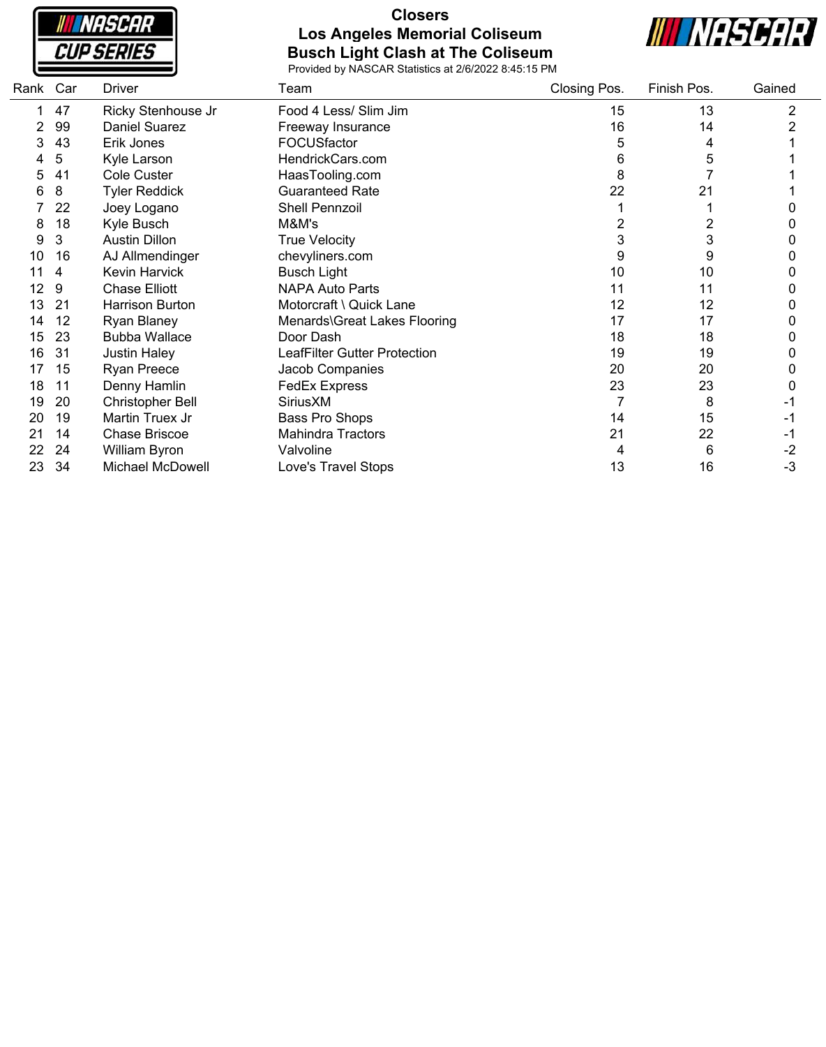**INASCAR CUP SERIES** 

#### **Closers Los Angeles Memorial Coliseum Busch Light Clash at The Coliseum**



| Rank | Car | Driver                  | Team                         | Closing Pos. | Finish Pos. | Gained         |  |
|------|-----|-------------------------|------------------------------|--------------|-------------|----------------|--|
|      | 47  | Ricky Stenhouse Jr      | Food 4 Less/ Slim Jim        | 15           | 13          | $\overline{c}$ |  |
|      | 99  | <b>Daniel Suarez</b>    | Freeway Insurance            | 16           | 14          | 2              |  |
| 3    | 43  | Erik Jones              | FOCUSfactor                  | 5            | 4           |                |  |
|      | 5   | Kyle Larson             | HendrickCars.com             | 6            | 5           |                |  |
| 5    | 41  | Cole Custer             | HaasTooling.com              | 8            |             |                |  |
| 6    | 8   | <b>Tyler Reddick</b>    | <b>Guaranteed Rate</b>       | 22           | 21          |                |  |
|      | 22  | Joey Logano             | Shell Pennzoil               |              |             |                |  |
| 8    | 18  | Kyle Busch              | M&M's                        | 2            | 2           |                |  |
| 9    | 3   | <b>Austin Dillon</b>    | <b>True Velocity</b>         | 3            | 3           |                |  |
| 10   | 16  | AJ Allmendinger         | chevyliners.com              | 9            | 9           | 0              |  |
| 11   | 4   | Kevin Harvick           | <b>Busch Light</b>           | 10           | 10          |                |  |
| 12   | 9   | <b>Chase Elliott</b>    | <b>NAPA Auto Parts</b>       | 11           | 11          | 0              |  |
| 13   | 21  | <b>Harrison Burton</b>  | Motorcraft \ Quick Lane      | 12           | 12          | 0              |  |
| 14   | 12  | Ryan Blaney             | Menards\Great Lakes Flooring | 17           | 17          | 0              |  |
| 15   | 23  | <b>Bubba Wallace</b>    | Door Dash                    | 18           | 18          | 0              |  |
| 16   | 31  | <b>Justin Haley</b>     | LeafFilter Gutter Protection | 19           | 19          | 0              |  |
| 17   | 15  | <b>Ryan Preece</b>      | Jacob Companies              | 20           | 20          |                |  |
| 18   | 11  | Denny Hamlin            | <b>FedEx Express</b>         | 23           | 23          |                |  |
| 19   | 20  | <b>Christopher Bell</b> | SiriusXM                     |              | 8           |                |  |
| 20   | 19  | Martin Truex Jr         | Bass Pro Shops               | 14           | 15          | - 1            |  |
| 21   | 14  | Chase Briscoe           | <b>Mahindra Tractors</b>     | 21           | 22          | -1             |  |
| 22   | 24  | William Byron           | Valvoline                    | 4            | 6           | $-2$           |  |
| 23   | 34  | <b>Michael McDowell</b> | Love's Travel Stops          | 13           | 16          | $-3$           |  |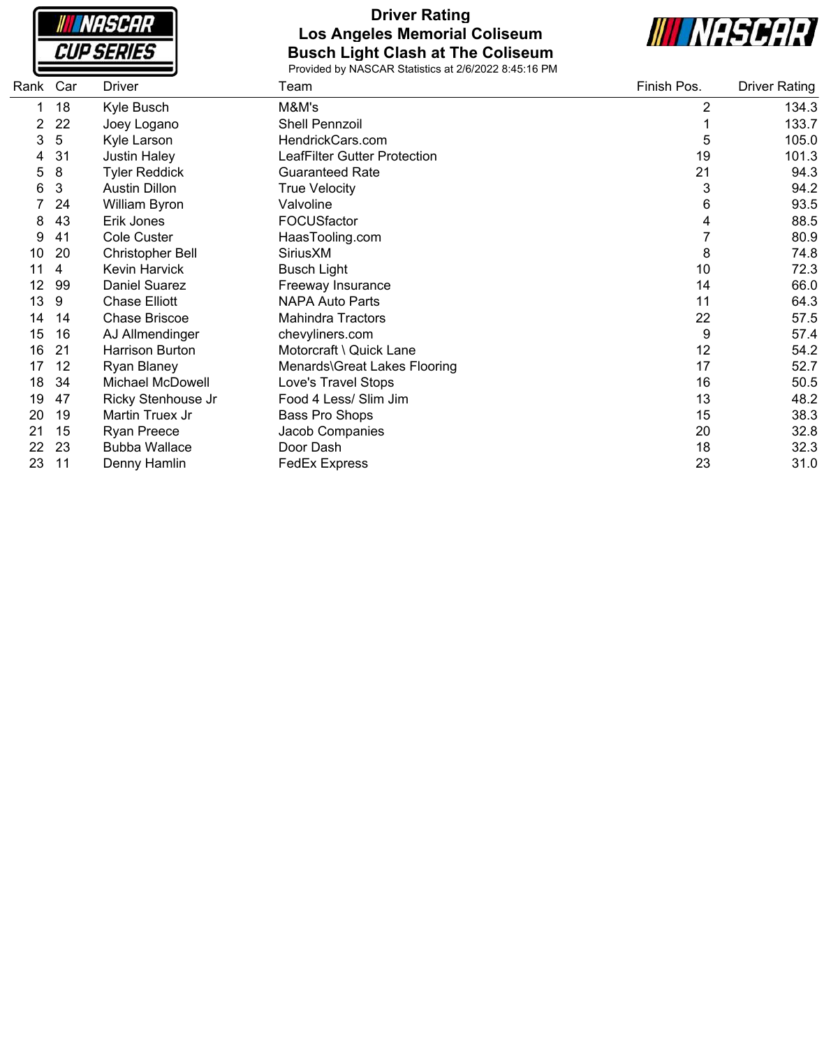

### **Driver Rating Los Angeles Memorial Coliseum Busch Light Clash at The Coliseum**



| Rank Car |     | Driver                  | Team                         | Finish Pos.    | <b>Driver Rating</b> |
|----------|-----|-------------------------|------------------------------|----------------|----------------------|
|          | 18  | Kyle Busch              | M&M's                        | $\overline{2}$ | 134.3                |
|          | 22  | Joey Logano             | <b>Shell Pennzoil</b>        |                | 133.7                |
| 3        | 5   | Kyle Larson             | HendrickCars.com             | 5              | 105.0                |
| 4        | 31  | <b>Justin Haley</b>     | LeafFilter Gutter Protection | 19             | 101.3                |
| 5        | 8   | <b>Tyler Reddick</b>    | <b>Guaranteed Rate</b>       | 21             | 94.3                 |
| 6        | 3   | <b>Austin Dillon</b>    | <b>True Velocity</b>         | 3              | 94.2                 |
|          | 24  | William Byron           | Valvoline                    | 6              | 93.5                 |
| 8        | 43  | Erik Jones              | FOCUSfactor                  | 4              | 88.5                 |
| 9        | 41  | Cole Custer             | HaasTooling.com              |                | 80.9                 |
| 10       | 20  | Christopher Bell        | SiriusXM                     | 8              | 74.8                 |
| 11       | 4   | <b>Kevin Harvick</b>    | <b>Busch Light</b>           | 10             | 72.3                 |
| 12       | 99  | <b>Daniel Suarez</b>    | Freeway Insurance            | 14             | 66.0                 |
| 13       | 9   | <b>Chase Elliott</b>    | NAPA Auto Parts              | 11             | 64.3                 |
| 14       | 14  | Chase Briscoe           | <b>Mahindra Tractors</b>     | 22             | 57.5                 |
| 15       | 16  | AJ Allmendinger         | chevyliners.com              | 9              | 57.4                 |
| 16       | -21 | <b>Harrison Burton</b>  | Motorcraft \ Quick Lane      | 12             | 54.2                 |
| 17       | 12  | <b>Ryan Blaney</b>      | Menards\Great Lakes Flooring | 17             | 52.7                 |
| 18       | 34  | <b>Michael McDowell</b> | Love's Travel Stops          | 16             | 50.5                 |
| 19       | 47  | Ricky Stenhouse Jr      | Food 4 Less/ Slim Jim        | 13             | 48.2                 |
| 20       | 19  | Martin Truex Jr         | Bass Pro Shops               | 15             | 38.3                 |
| 21       | 15  | <b>Ryan Preece</b>      | Jacob Companies              | 20             | 32.8                 |
| 22       | 23  | <b>Bubba Wallace</b>    | Door Dash                    | 18             | 32.3                 |
| 23       | 11  | Denny Hamlin            | <b>FedEx Express</b>         | 23             | 31.0                 |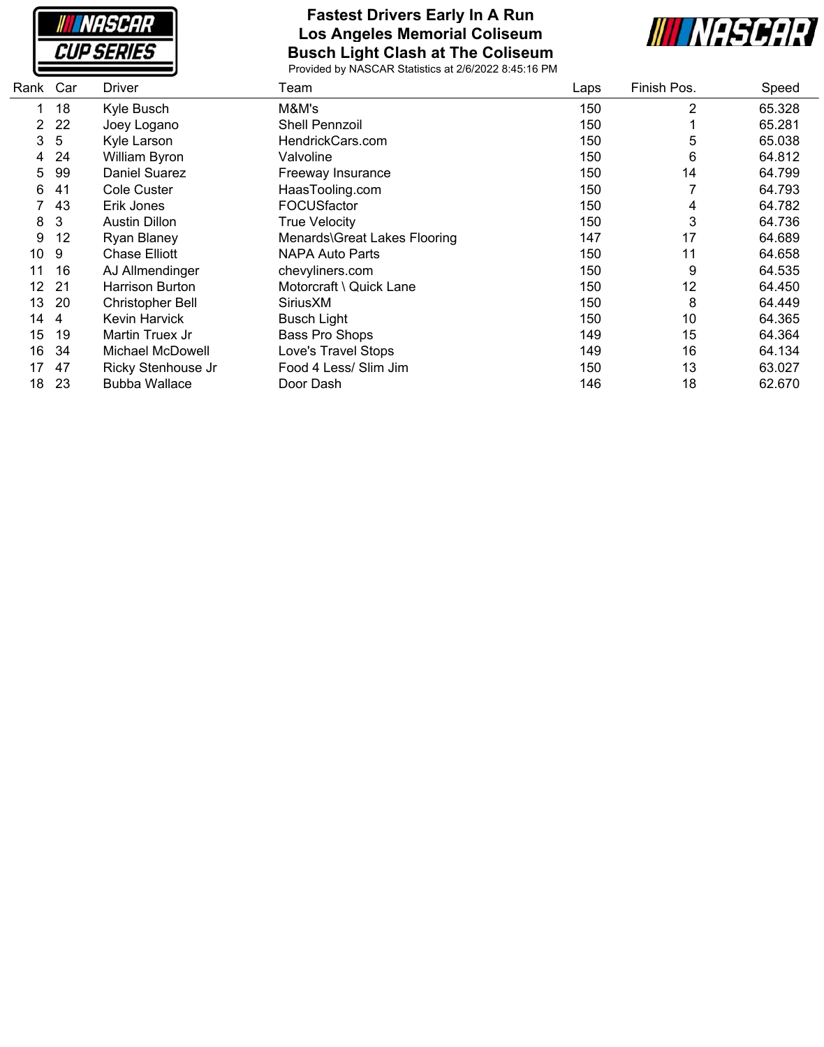

#### **Fastest Drivers Early In A Run Los Angeles Memorial Coliseum Busch Light Clash at The Coliseum**



| Rank | Car | Driver                  | Team                         | Laps | Finish Pos. | Speed  |
|------|-----|-------------------------|------------------------------|------|-------------|--------|
|      | 18  | Kyle Busch              | M&M's                        | 150  | 2           | 65.328 |
| 2    | 22  | Joey Logano             | Shell Pennzoil               | 150  |             | 65.281 |
| 3    | 5   | Kyle Larson             | HendrickCars.com             | 150  | 5           | 65.038 |
| 4    | 24  | William Byron           | Valvoline                    | 150  | 6           | 64.812 |
| 5    | 99  | <b>Daniel Suarez</b>    | Freeway Insurance            | 150  | 14          | 64.799 |
| 6    | 41  | Cole Custer             | HaasTooling.com              | 150  |             | 64.793 |
|      | 43  | Erik Jones              | FOCUSfactor                  | 150  | 4           | 64.782 |
| 8    | 3   | <b>Austin Dillon</b>    | <b>True Velocity</b>         | 150  | 3           | 64.736 |
| 9    | 12  | Ryan Blaney             | Menards\Great Lakes Flooring | 147  | 17          | 64.689 |
| 10   | 9   | Chase Elliott           | <b>NAPA Auto Parts</b>       | 150  | 11          | 64.658 |
| 11   | 16  | AJ Allmendinger         | chevyliners.com              | 150  | 9           | 64.535 |
| 12   | -21 | Harrison Burton         | Motorcraft \ Quick Lane      | 150  | 12          | 64.450 |
| 13   | 20  | <b>Christopher Bell</b> | SiriusXM                     | 150  | 8           | 64.449 |
| 14   | 4   | Kevin Harvick           | <b>Busch Light</b>           | 150  | 10          | 64.365 |
| 15   | 19  | Martin Truex Jr         | Bass Pro Shops               | 149  | 15          | 64.364 |
| 16   | 34  | Michael McDowell        | Love's Travel Stops          | 149  | 16          | 64.134 |
| 17   | 47  | Ricky Stenhouse Jr      | Food 4 Less/ Slim Jim        | 150  | 13          | 63.027 |
| 18   | -23 | <b>Bubba Wallace</b>    | Door Dash                    | 146  | 18          | 62.670 |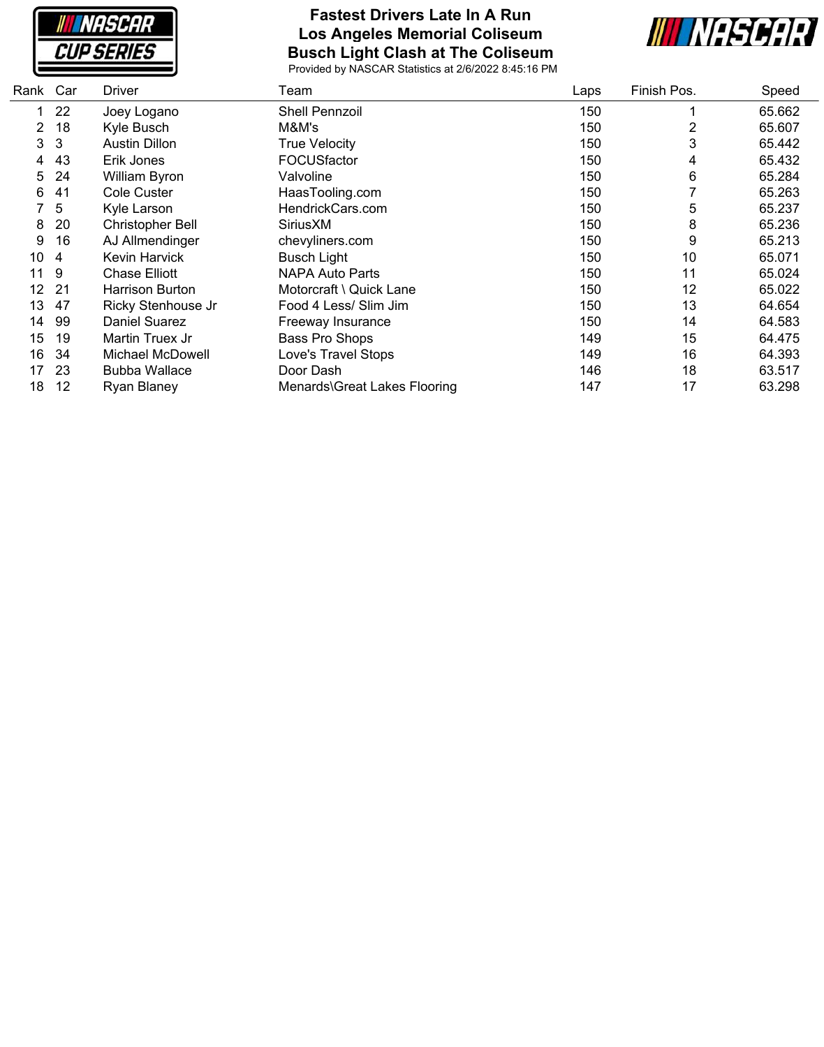

## **Fastest Drivers Late In A Run Los Angeles Memorial Coliseum Busch Light Clash at The Coliseum**



| Car | <b>Driver</b>           | Team                         | Laps | Finish Pos. | Speed  |
|-----|-------------------------|------------------------------|------|-------------|--------|
| 22  | Joey Logano             | Shell Pennzoil               | 150  |             | 65.662 |
| 18  | Kyle Busch              | M&M's                        | 150  | 2           | 65.607 |
| 3   | <b>Austin Dillon</b>    | <b>True Velocity</b>         | 150  | 3           | 65.442 |
| 43  | Erik Jones              | FOCUSfactor                  | 150  | 4           | 65.432 |
| 24  | William Byron           | Valvoline                    | 150  | 6           | 65.284 |
| 41  | Cole Custer             | HaasTooling.com              | 150  |             | 65.263 |
| 5   | Kyle Larson             | HendrickCars.com             | 150  | 5           | 65.237 |
| 20  | <b>Christopher Bell</b> | SiriusXM                     | 150  | 8           | 65.236 |
| 16  | AJ Allmendinger         | chevyliners.com              | 150  | 9           | 65.213 |
| 4   | Kevin Harvick           | <b>Busch Light</b>           | 150  | 10          | 65.071 |
| 9   | <b>Chase Elliott</b>    | <b>NAPA Auto Parts</b>       | 150  | 11          | 65.024 |
| -21 | Harrison Burton         | Motorcraft \ Quick Lane      | 150  | 12          | 65.022 |
| 47  | Ricky Stenhouse Jr      | Food 4 Less/ Slim Jim        | 150  | 13          | 64.654 |
| 99  | Daniel Suarez           | Freeway Insurance            | 150  | 14          | 64.583 |
| 19  | Martin Truex Jr         | Bass Pro Shops               | 149  | 15          | 64.475 |
| 34  | Michael McDowell        | Love's Travel Stops          | 149  | 16          | 64.393 |
| 23  | <b>Bubba Wallace</b>    | Door Dash                    | 146  | 18          | 63.517 |
| 12  | Ryan Blaney             | Menards\Great Lakes Flooring | 147  | 17          | 63.298 |
|     | Rank                    |                              |      |             |        |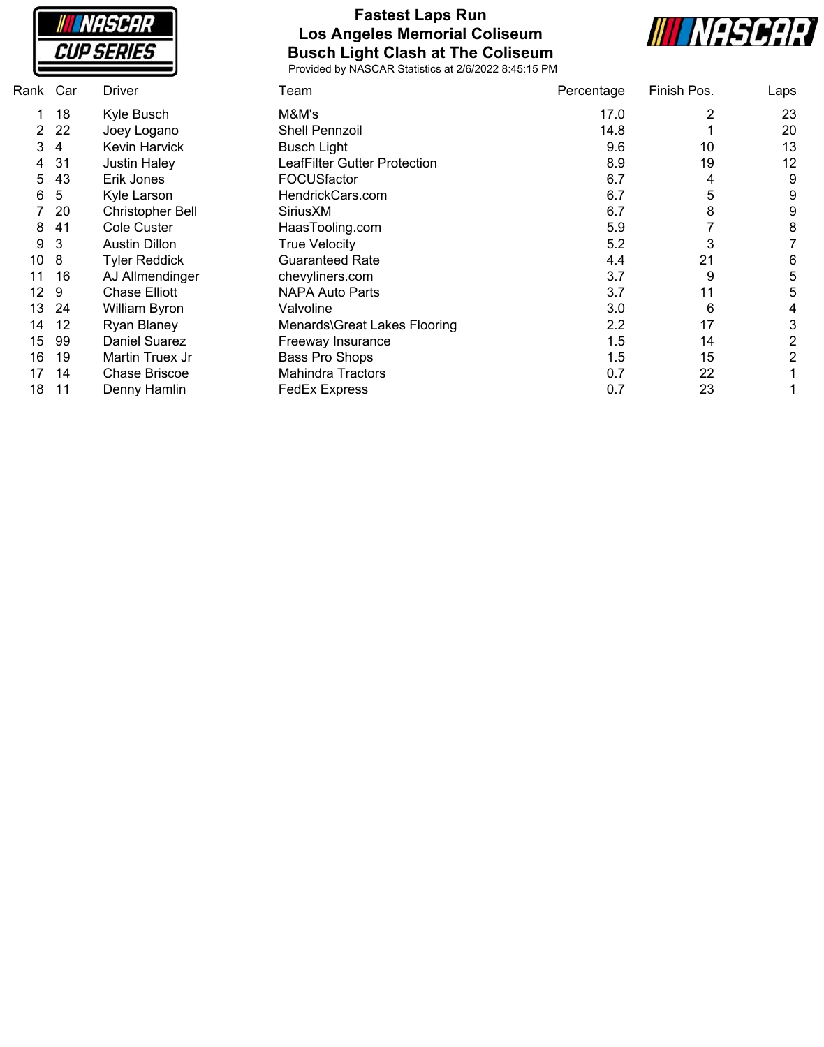**INASCAR CUP SERIES** 

### **Fastest Laps Run Los Angeles Memorial Coliseum Busch Light Clash at The Coliseum**



| Car | <b>Driver</b>        | Team                         | Percentage | Finish Pos. | Laps |
|-----|----------------------|------------------------------|------------|-------------|------|
| 18  | Kyle Busch           | M&M's                        | 17.0       | 2           | 23   |
| 22  | Joey Logano          | Shell Pennzoil               | 14.8       |             | 20   |
| 4   | Kevin Harvick        | <b>Busch Light</b>           | 9.6        | 10          | 13   |
| 31  | <b>Justin Haley</b>  | LeafFilter Gutter Protection | 8.9        | 19          | 12   |
| 43  | Erik Jones           | <b>FOCUSfactor</b>           | 6.7        | 4           | 9    |
| 5   | Kyle Larson          | HendrickCars.com             | 6.7        | 5           | 9    |
| 20  | Christopher Bell     | SiriusXM                     | 6.7        | 8           | 9    |
| 41  | Cole Custer          | HaasTooling.com              | 5.9        |             | 8    |
| 3   | <b>Austin Dillon</b> | <b>True Velocity</b>         | 5.2        | 3           |      |
| 8   | <b>Tyler Reddick</b> | <b>Guaranteed Rate</b>       | 4.4        | 21          | 6    |
| 16  | AJ Allmendinger      | chevyliners.com              | 3.7        | 9           | 5    |
| 9   | <b>Chase Elliott</b> | NAPA Auto Parts              | 3.7        | 11          | 5    |
| 24  | William Byron        | Valvoline                    | 3.0        | 6           | 4    |
| 12  | Ryan Blaney          | Menards\Great Lakes Flooring | 2.2        | 17          | 3    |
| 99  | Daniel Suarez        | Freeway Insurance            | 1.5        | 14          | 2    |
| 19  | Martin Truex Jr      | Bass Pro Shops               | 1.5        | 15          | 2    |
| 14  | <b>Chase Briscoe</b> | <b>Mahindra Tractors</b>     | 0.7        | 22          |      |
| 11  | Denny Hamlin         | <b>FedEx Express</b>         | 0.7        | 23          |      |
|     | Rank                 |                              |            |             |      |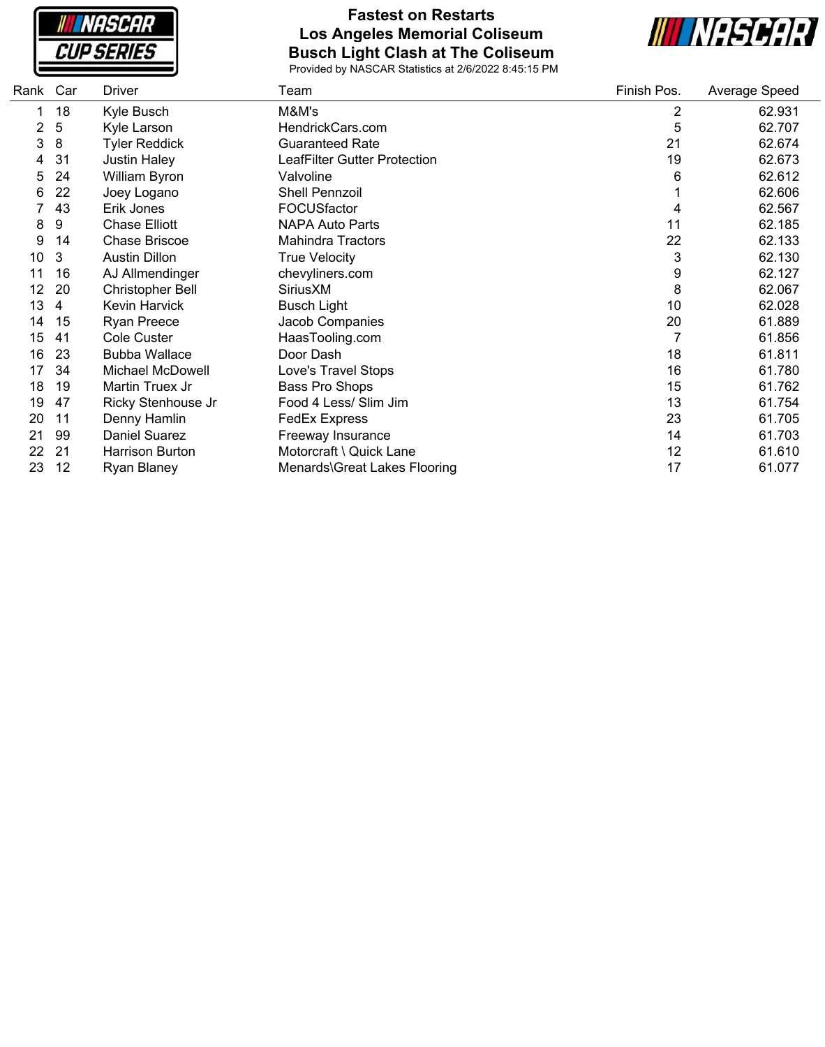

### **Fastest on Restarts Los Angeles Memorial Coliseum Busch Light Clash at The Coliseum**



| Rank | Car | Driver                  | Team                         | Finish Pos. | Average Speed |
|------|-----|-------------------------|------------------------------|-------------|---------------|
| 1    | 18  | Kyle Busch              | M&M's                        | 2           | 62.931        |
| 2    | 5   | Kyle Larson             | HendrickCars.com             | 5           | 62.707        |
| 3    | 8   | <b>Tyler Reddick</b>    | <b>Guaranteed Rate</b>       | 21          | 62.674        |
| 4    | 31  | <b>Justin Haley</b>     | LeafFilter Gutter Protection | 19          | 62.673        |
| 5    | 24  | William Byron           | Valvoline                    | 6           | 62.612        |
| 6    | 22  | Joey Logano             | Shell Pennzoil               |             | 62.606        |
|      | 43  | Erik Jones              | FOCUSfactor                  | 4           | 62.567        |
| 8    | 9   | <b>Chase Elliott</b>    | <b>NAPA Auto Parts</b>       | 11          | 62.185        |
| 9    | 14  | Chase Briscoe           | <b>Mahindra Tractors</b>     | 22          | 62.133        |
| 10   | 3   | <b>Austin Dillon</b>    | <b>True Velocity</b>         | 3           | 62.130        |
| 11   | 16  | AJ Allmendinger         | chevyliners.com              | 9           | 62.127        |
| 12   | 20  | <b>Christopher Bell</b> | SiriusXM                     | 8           | 62.067        |
| 13   | 4   | <b>Kevin Harvick</b>    | <b>Busch Light</b>           | 10          | 62.028        |
| 14   | 15  | <b>Ryan Preece</b>      | Jacob Companies              | 20          | 61.889        |
| 15   | 41  | Cole Custer             | HaasTooling.com              | 7           | 61.856        |
| 16   | 23  | <b>Bubba Wallace</b>    | Door Dash                    | 18          | 61.811        |
| 17   | 34  | Michael McDowell        | Love's Travel Stops          | 16          | 61.780        |
| 18   | 19  | Martin Truex Jr         | Bass Pro Shops               | 15          | 61.762        |
| 19   | 47  | Ricky Stenhouse Jr      | Food 4 Less/ Slim Jim        | 13          | 61.754        |
| 20   | 11  | Denny Hamlin            | <b>FedEx Express</b>         | 23          | 61.705        |
| 21   | 99  | Daniel Suarez           | Freeway Insurance            | 14          | 61.703        |
| 22   | 21  | <b>Harrison Burton</b>  | Motorcraft \ Quick Lane      | 12          | 61.610        |
| 23   | 12  | <b>Ryan Blaney</b>      | Menards\Great Lakes Flooring | 17          | 61.077        |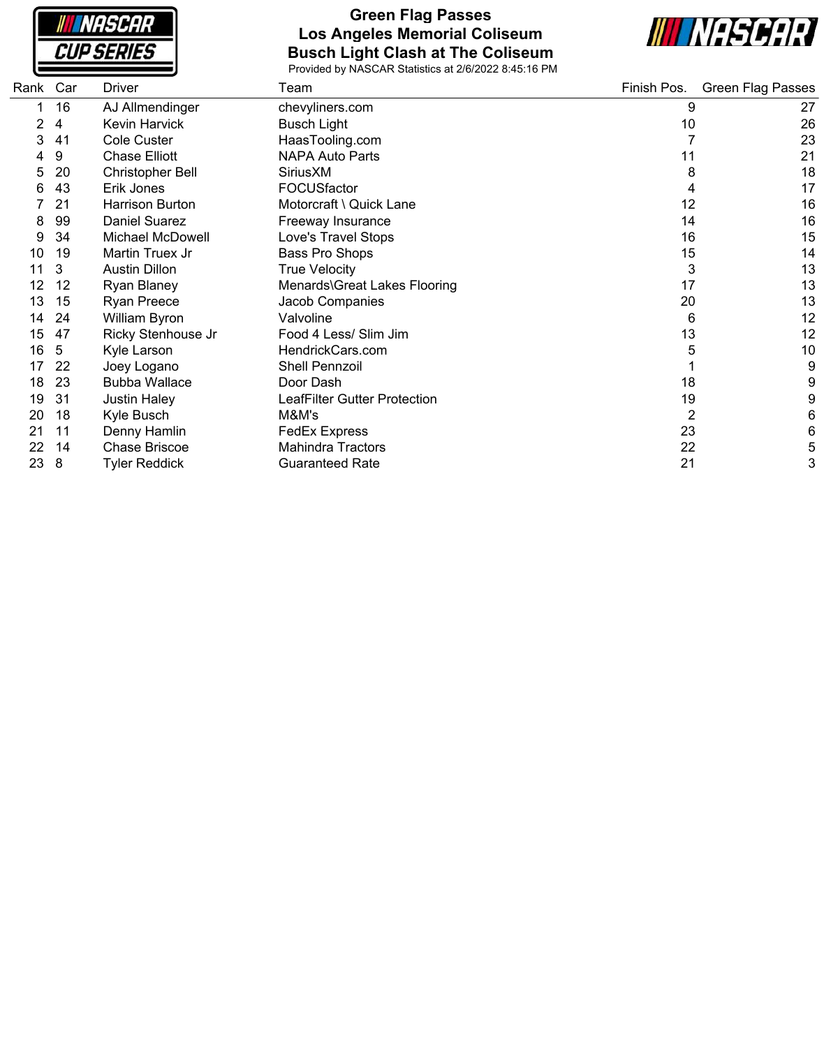

### **Green Flag Passes Los Angeles Memorial Coliseum Busch Light Clash at The Coliseum**



| Rank | Car | Driver                  | Team                         | Finish Pos. | <b>Green Flag Passes</b> |
|------|-----|-------------------------|------------------------------|-------------|--------------------------|
|      | 16  | AJ Allmendinger         | chevyliners.com              | 9           | 27                       |
| 2    | 4   | Kevin Harvick           | <b>Busch Light</b>           | 10          | 26                       |
| 3    | 41  | <b>Cole Custer</b>      | HaasTooling.com              |             | 23                       |
| 4    | 9   | <b>Chase Elliott</b>    | <b>NAPA Auto Parts</b>       | 11          | 21                       |
| 5    | 20  | <b>Christopher Bell</b> | SiriusXM                     | 8           | 18                       |
| რ    | 43  | Erik Jones              | FOCUSfactor                  |             | 17                       |
|      | 21  | <b>Harrison Burton</b>  | Motorcraft \ Quick Lane      | 12          | 16                       |
| 8    | 99  | <b>Daniel Suarez</b>    | Freeway Insurance            | 14          | 16                       |
| 9    | 34  | Michael McDowell        | Love's Travel Stops          | 16          | 15                       |
| 10   | 19  | Martin Truex Jr         | Bass Pro Shops               | 15          | 14                       |
| 11   | 3   | <b>Austin Dillon</b>    | <b>True Velocity</b>         | 3           | 13                       |
| 12   | 12  | Ryan Blaney             | Menards\Great Lakes Flooring | 17          | 13                       |
| 13   | 15  | <b>Ryan Preece</b>      | Jacob Companies              | 20          | 13                       |
| 14   | 24  | William Byron           | Valvoline                    | 6           | 12                       |
| 15   | 47  | Ricky Stenhouse Jr      | Food 4 Less/ Slim Jim        | 13          | 12                       |
| 16   | 5   | Kyle Larson             | HendrickCars.com             | 5           | 10                       |
| 17   | 22  | Joey Logano             | <b>Shell Pennzoil</b>        |             | 9                        |
| 18   | 23  | <b>Bubba Wallace</b>    | Door Dash                    | 18          | 9                        |
| 19   | 31  | <b>Justin Haley</b>     | LeafFilter Gutter Protection | 19          | 9                        |
| 20   | 18  | Kyle Busch              | M&M's                        | 2           | 6                        |
| 21   | 11  | Denny Hamlin            | <b>FedEx Express</b>         | 23          | 6                        |
| 22   | 14  | <b>Chase Briscoe</b>    | <b>Mahindra Tractors</b>     | 22          | 5                        |
| 23   | 8   | Tyler Reddick           | <b>Guaranteed Rate</b>       | 21          | 3                        |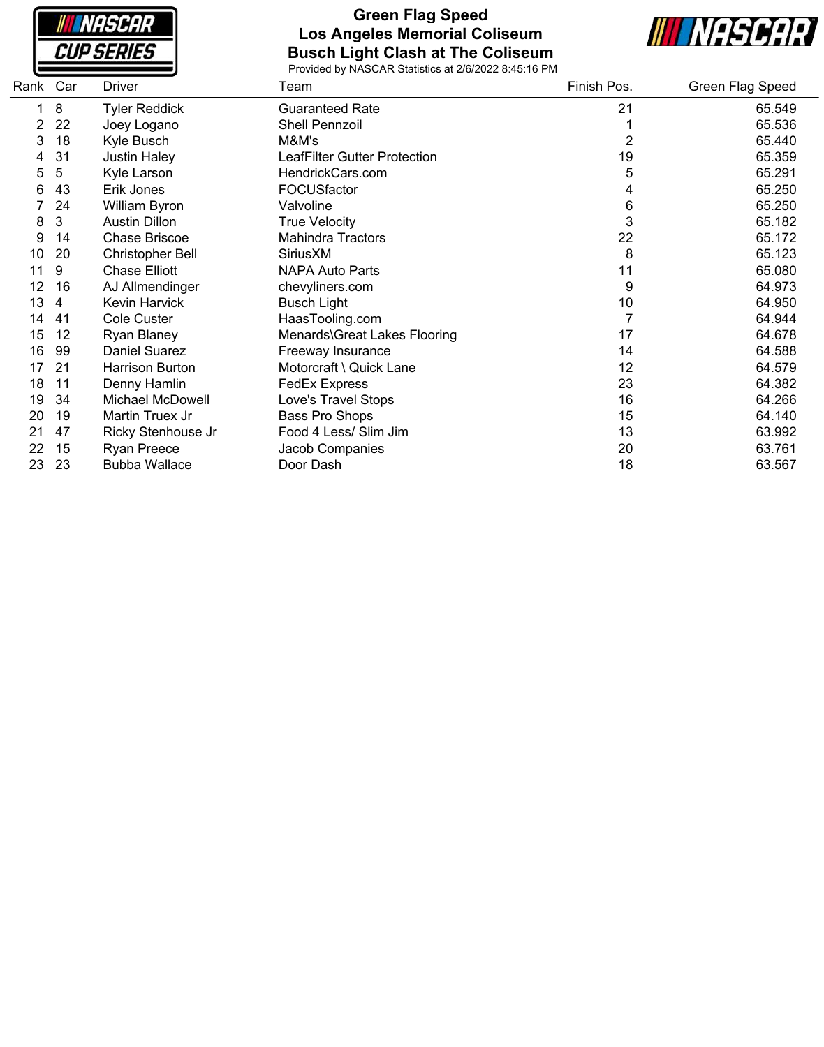

#### **Green Flag Speed Los Angeles Memorial Coliseum Busch Light Clash at The Coliseum**



| Rank | Car | <b>Driver</b>           | Team                         | Finish Pos. | Green Flag Speed |
|------|-----|-------------------------|------------------------------|-------------|------------------|
| 1    | 8   | <b>Tyler Reddick</b>    | <b>Guaranteed Rate</b>       | 21          | 65.549           |
|      | 22  | Joey Logano             | Shell Pennzoil               |             | 65.536           |
| 3    | 18  | Kyle Busch              | M&M's                        | 2           | 65.440           |
|      | 31  | <b>Justin Haley</b>     | LeafFilter Gutter Protection | 19          | 65.359           |
| 5    | 5   | Kyle Larson             | HendrickCars.com             | 5           | 65.291           |
| 6    | 43  | Erik Jones              | FOCUSfactor                  | 4           | 65.250           |
|      | 24  | William Byron           | Valvoline                    | 6           | 65.250           |
| 8    | 3   | <b>Austin Dillon</b>    | <b>True Velocity</b>         | 3           | 65.182           |
| 9    | 14  | <b>Chase Briscoe</b>    | <b>Mahindra Tractors</b>     | 22          | 65.172           |
| 10   | 20  | <b>Christopher Bell</b> | SiriusXM                     | 8           | 65.123           |
| 11   | 9   | <b>Chase Elliott</b>    | <b>NAPA Auto Parts</b>       | 11          | 65.080           |
| 12   | 16  | AJ Allmendinger         | chevyliners.com              | 9           | 64.973           |
| 13   | 4   | Kevin Harvick           | <b>Busch Light</b>           | 10          | 64.950           |
| 14   | 41  | <b>Cole Custer</b>      | HaasTooling.com              | 7           | 64.944           |
| 15   | 12  | Ryan Blaney             | Menards\Great Lakes Flooring | 17          | 64.678           |
| 16   | 99  | Daniel Suarez           | Freeway Insurance            | 14          | 64.588           |
| 17   | 21  | <b>Harrison Burton</b>  | Motorcraft \ Quick Lane      | 12          | 64.579           |
| 18   | 11  | Denny Hamlin            | <b>FedEx Express</b>         | 23          | 64.382           |
| 19   | 34  | Michael McDowell        | Love's Travel Stops          | 16          | 64.266           |
| 20   | 19  | Martin Truex Jr         | Bass Pro Shops               | 15          | 64.140           |
| 21   | 47  | Ricky Stenhouse Jr      | Food 4 Less/ Slim Jim        | 13          | 63.992           |
| 22   | 15  | <b>Ryan Preece</b>      | Jacob Companies              | 20          | 63.761           |
| 23   | 23  | <b>Bubba Wallace</b>    | Door Dash                    | 18          | 63.567           |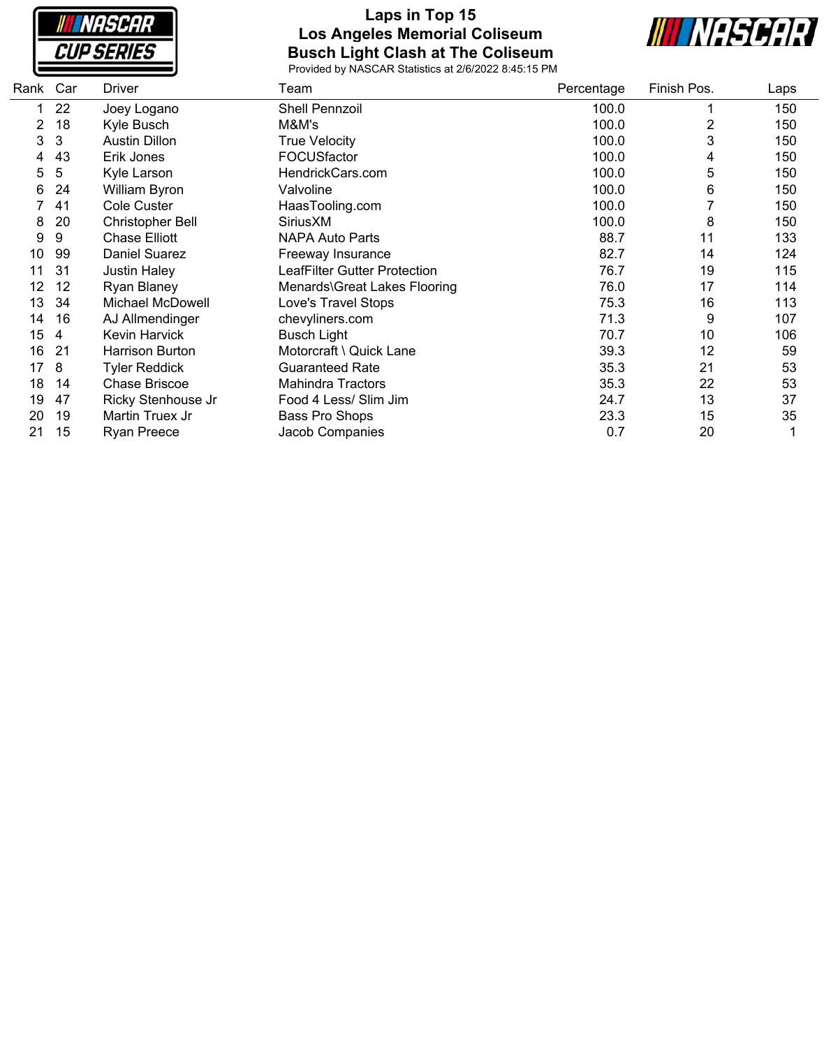

### **Laps in Top 15 Los Angeles Memorial Coliseum Busch Light Clash at The Coliseum**



| Rank | Car | <b>Driver</b>        | Team                                | Percentage | Finish Pos. | Laps |
|------|-----|----------------------|-------------------------------------|------------|-------------|------|
| 1    | 22  | Joey Logano          | Shell Pennzoil                      | 100.0      |             | 150  |
|      | 18  | Kyle Busch           | M&M's                               | 100.0      | 2           | 150  |
| 3    | 3   | <b>Austin Dillon</b> | <b>True Velocity</b>                | 100.0      | 3           | 150  |
| 4    | 43  | Erik Jones           | <b>FOCUSfactor</b>                  | 100.0      | 4           | 150  |
| 5    | 5   | Kyle Larson          | HendrickCars.com                    | 100.0      | 5           | 150  |
| 6    | 24  | William Byron        | Valvoline                           | 100.0      | 6           | 150  |
|      | 41  | <b>Cole Custer</b>   | HaasTooling.com                     | 100.0      |             | 150  |
| 8    | 20  | Christopher Bell     | SiriusXM                            | 100.0      | 8           | 150  |
| 9    | 9   | <b>Chase Elliott</b> | <b>NAPA Auto Parts</b>              | 88.7       | 11          | 133  |
| 10   | 99  | Daniel Suarez        | Freeway Insurance                   | 82.7       | 14          | 124  |
| 11   | 31  | <b>Justin Haley</b>  | <b>LeafFilter Gutter Protection</b> | 76.7       | 19          | 115  |
| 12   | 12  | Ryan Blaney          | Menards\Great Lakes Flooring        | 76.0       | 17          | 114  |
| 13   | 34  | Michael McDowell     | Love's Travel Stops                 | 75.3       | 16          | 113  |
| 14   | 16  | AJ Allmendinger      | chevyliners.com                     | 71.3       | 9           | 107  |
| 15   | 4   | Kevin Harvick        | <b>Busch Light</b>                  | 70.7       | 10          | 106  |
| 16   | 21  | Harrison Burton      | Motorcraft \ Quick Lane             | 39.3       | 12          | 59   |
| 17   | 8   | <b>Tyler Reddick</b> | <b>Guaranteed Rate</b>              | 35.3       | 21          | 53   |
| 18   | 14  | <b>Chase Briscoe</b> | <b>Mahindra Tractors</b>            | 35.3       | 22          | 53   |
| 19   | 47  | Ricky Stenhouse Jr   | Food 4 Less/ Slim Jim               | 24.7       | 13          | 37   |
| 20   | 19  | Martin Truex Jr      | Bass Pro Shops                      | 23.3       | 15          | 35   |
| 21   | 15  | <b>Ryan Preece</b>   | Jacob Companies                     | 0.7        | 20          |      |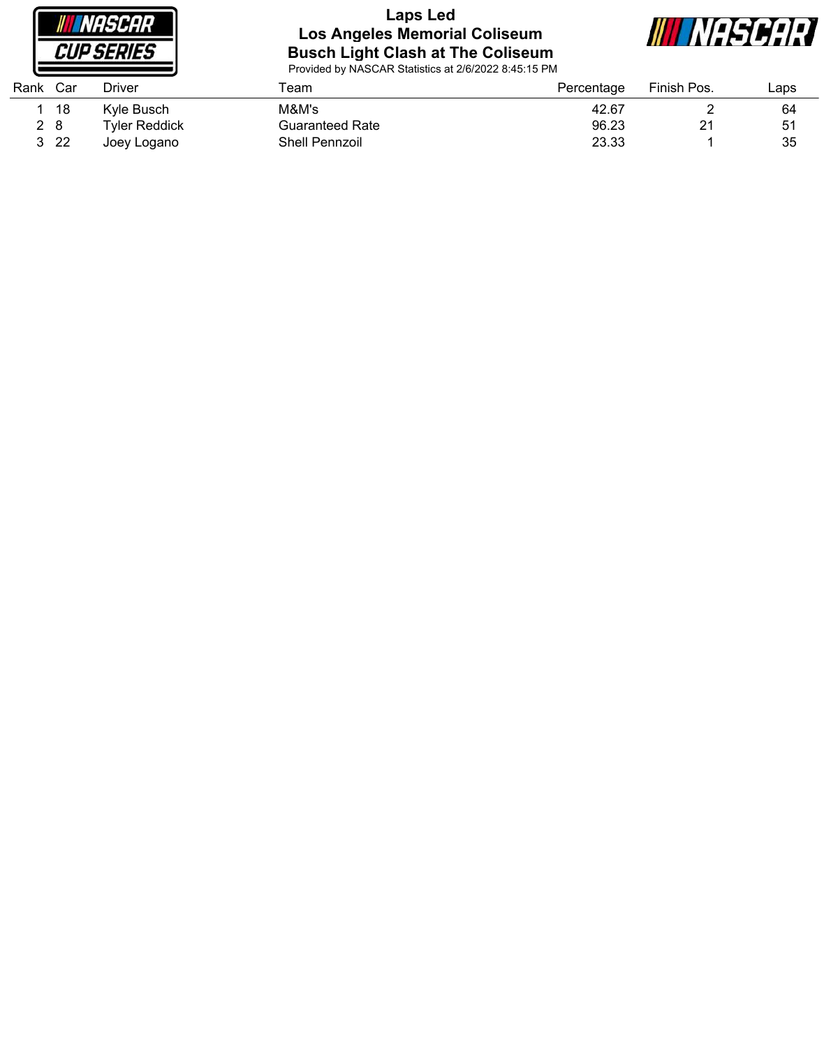

#### **Laps Led Los Angeles Memorial Coliseum Busch Light Clash at The Coliseum**



| Rank | Car  | <b>Driver</b> | Геаm                   | Percentage | Finish Pos. | Laps |
|------|------|---------------|------------------------|------------|-------------|------|
|      | 18   | Kvle Busch    | M&M's                  | 42.67      |             | 64   |
|      | 2 8  | Tvler Reddick | <b>Guaranteed Rate</b> | 96.23      | 21          | 51   |
|      | 3 22 | Joey Logano   | <b>Shell Pennzoil</b>  | 23.33      |             | 35   |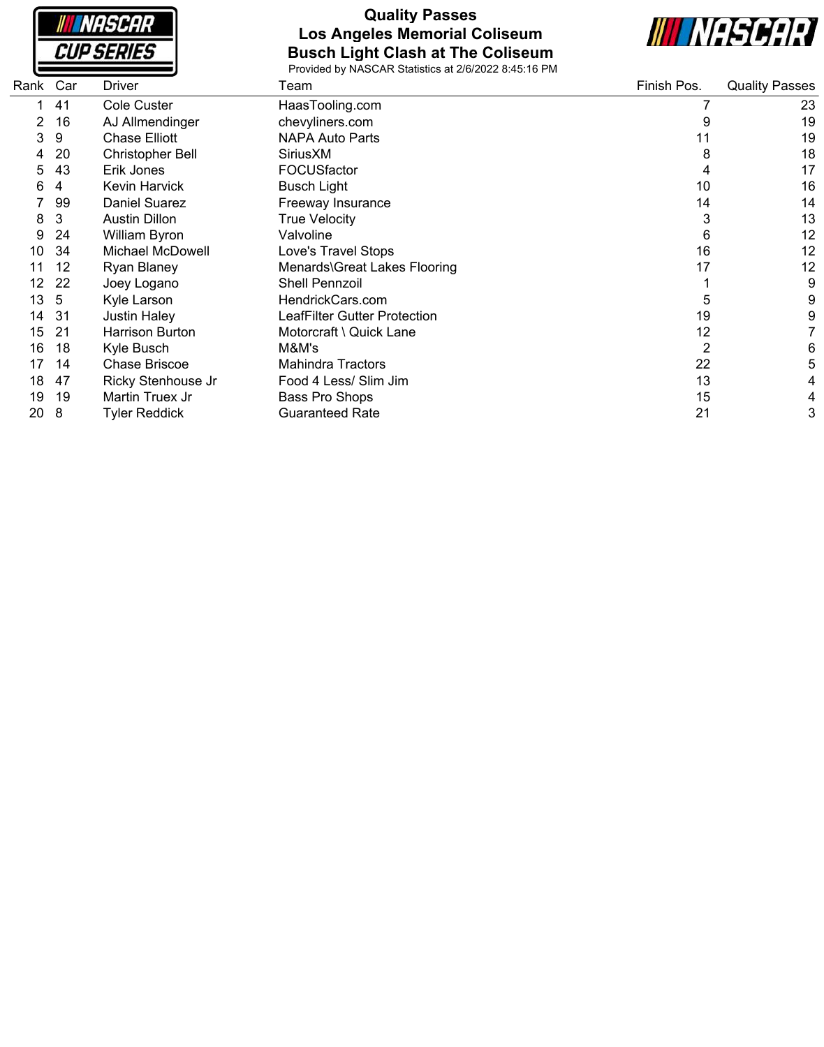|                   | NASCAR |
|-------------------|--------|
| <i>CUP SERIES</i> |        |

## **Quality Passes Los Angeles Memorial Coliseum Busch Light Clash at The Coliseum**



| Rank | Car | Driver                 | Team                         | Finish Pos. | <b>Quality Passes</b> |
|------|-----|------------------------|------------------------------|-------------|-----------------------|
|      | 41  | Cole Custer            | HaasTooling.com              |             | 23                    |
|      | 16  | AJ Allmendinger        | chevyliners.com              |             | 19                    |
| 3    | 9   | <b>Chase Elliott</b>   | <b>NAPA Auto Parts</b>       | 11          | 19                    |
|      | 20  | Christopher Bell       | SiriusXM                     | 8           | 18                    |
| 5    | 43  | Erik Jones             | FOCUSfactor                  | 4           | 17                    |
| 6    | 4   | Kevin Harvick          | <b>Busch Light</b>           | 10          | 16                    |
|      | 99  | <b>Daniel Suarez</b>   | Freeway Insurance            | 14          | 14                    |
| 8    | 3   | <b>Austin Dillon</b>   | True Velocity                | 3           | 13                    |
| 9    | 24  | William Byron          | Valvoline                    | 6           | 12                    |
| 10   | 34  | Michael McDowell       | Love's Travel Stops          | 16          | 12                    |
|      | 12  | <b>Ryan Blaney</b>     | Menards\Great Lakes Flooring | 17          | 12                    |
| 12   | 22  | Joey Logano            | <b>Shell Pennzoil</b>        |             | 9                     |
| 13   | 5   | Kyle Larson            | HendrickCars.com             | 5           | 9                     |
| 14   | 31  | <b>Justin Haley</b>    | LeafFilter Gutter Protection | 19          | 9                     |
| 15   | -21 | <b>Harrison Burton</b> | Motorcraft \ Quick Lane      | 12          |                       |
| 16   | 18  | Kyle Busch             | M&M's                        | 2           | 6                     |
| 17   | 14  | <b>Chase Briscoe</b>   | <b>Mahindra Tractors</b>     | 22          | 5                     |
| 18   | 47  | Ricky Stenhouse Jr     | Food 4 Less/ Slim Jim        | 13          | 4                     |
| 19   | 19  | Martin Truex Jr        | Bass Pro Shops               | 15          | 4                     |
| 20   | 8   | <b>Tyler Reddick</b>   | <b>Guaranteed Rate</b>       | 21          | 3                     |